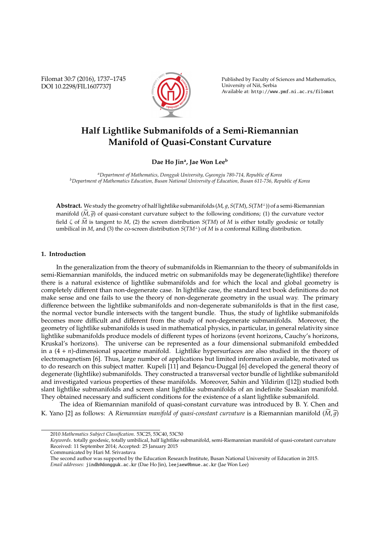Filomat 30:7 (2016), 1737–1745 DOI 10.2298/FIL1607737J



Published by Faculty of Sciences and Mathematics, University of Niš, Serbia Available at: http://www.pmf.ni.ac.rs/filomat

# **Half Lightlike Submanifolds of a Semi-Riemannian Manifold of Quasi-Constant Curvature**

**Dae Ho Jin<sup>a</sup> , Jae Won Lee<sup>b</sup>**

*<sup>a</sup>Department of Mathematics, Dongguk University, Gyeongju 780-714, Republic of Korea <sup>b</sup>Department of Mathematics Education, Busan National University of Education, Busan 611-736, Republic of Korea*

**Abstract.** We study the geometry of half lightlike submanifolds (*M*, 1, *S*(*TM*), *S*(*TM*<sup>⊥</sup>)) of a semi-Riemannian manifold  $(\widetilde{M},\widetilde{g})$  of quasi-constant curvature subject to the following conditions; (1) the curvature vector field  $\zeta$  of  $\widetilde{M}$  is tangent to *M*, (2) the screen distribution *S*(*TM*) of *M* is either totally geodesic or totally umbilical in *M*, and (3) the co-screen distribution *S*(*TM*<sup>⊥</sup>) of *M* is a conformal Killing distribution.

# **1. Introduction**

In the generalization from the theory of submanifolds in Riemannian to the theory of submanifolds in semi-Riemannian manifolds, the induced metric on submanifolds may be degenerate(lightlike) therefore there is a natural existence of lightlike submanifolds and for which the local and global geometry is completely different than non-degenerate case. In lightlike case, the standard text book definitions do not make sense and one fails to use the theory of non-degenerate geometry in the usual way. The primary difference between the lightlike submanifolds and non-degenerate submanifolds is that in the first case, the normal vector bundle intersects with the tangent bundle. Thus, the study of lightlike submanifolds becomes more difficult and different from the study of non-degenerate submanifolds. Moreover, the geometry of lightlike submanifolds is used in mathematical physics, in particular, in general relativity since lightlike submanifolds produce models of different types of horizons (event horizons, Cauchy's horizons, Kruskal's horizons). The universe can be represented as a four dimensional submanifold embedded in a (4 + *n*)-dimensional spacetime manifold. Lightlike hypersurfaces are also studied in the theory of electromagnetism [6]. Thus, large number of applications but limited information available, motivated us to do research on this subject matter. Kupeli [11] and Bejancu-Duggal [6] developed the general theory of degenerate (lightlike) submanifolds. They constructed a transversal vector bundle of lightlike submanifold and investigated various properties of these manifolds. Moreover, Sahin and Yildirim ([12]) studied both slant lightlike submanifolds and screen slant lightlike submanifolds of an indefinite Sasakian manifold. They obtained necessary and sufficient conditions for the existence of a slant lightlike submanifold.

The idea of Riemannian manifold of quasi-constant curvature was introduced by B. Y. Chen and K. Yano [2] as follows: A *Riemannian manifold of quasi-constant curvature* is a Riemannian manifold  $(M, \tilde{q})$ 

<sup>2010</sup> *Mathematics Subject Classification*. 53C25, 53C40, 53C50

*Keywords*. totally geodesic, totally umbilical, half lightlike submanifold, semi-Riemannian manifold of quasi-constant curvature Received: 11 September 2014; Accepted: 25 January 2015

Communicated by Hari M. Srivastava

The second author was supported by the Education Research Institute, Busan National University of Education in 2015. *Email addresses:* jindh@dongguk.ac.kr (Dae Ho Jin), leejaew@bnue.ac.kr (Jae Won Lee)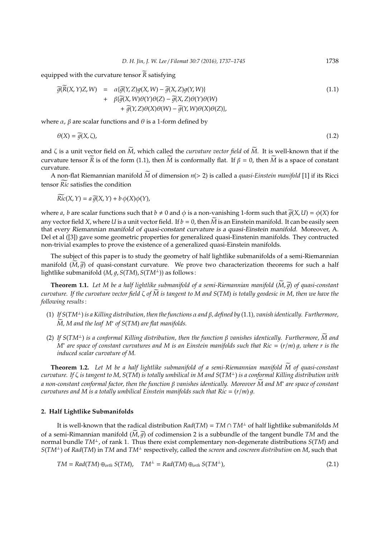equipped with the curvature tensor  $\widetilde{R}$  satisfying

$$
\widetilde{g}(\widetilde{R}(X,Y)Z,W) = \alpha \{\widetilde{g}(Y,Z)g(X,W) - \widetilde{g}(X,Z)g(Y,W)\} \n+ \beta \{\widetilde{g}(X,W)\theta(Y)\theta(Z) - \widetilde{g}(X,Z)\theta(Y)\theta(W) \n+ \widetilde{g}(Y,Z)\theta(X)\theta(W) - \widetilde{g}(Y,W)\theta(X)\theta(Z)\},
$$
\n(1.1)

where *α*, *β* are scalar functions and  $θ$  is a 1-form defined by

$$
\theta(X) = \tilde{g}(X,\zeta),\tag{1.2}
$$

and  $\zeta$  is a unit vector field on  $\widetilde{M}$ , which called the *curvature vector field* of  $\widetilde{M}$ . It is well-known that if the curvature tensor  $\widetilde{R}$  is of the form (1.1), then  $\widetilde{M}$  is conformally flat. If  $\beta = 0$ , then  $\widetilde{M}$  is a space of constant curvature.

A non-flat Riemannian manifold  $\widetilde{M}$  of dimension  $n(> 2)$  is called a *quasi-Einstein manifold* [1] if its Ricci tensor *Ric* satisfies the condition

$$
Ric(X,Y) = a\,\widetilde{g}(X,Y) + b\,\phi(X)\phi(Y),
$$

where *a*, *b* are scalar functions such that  $b \neq 0$  and  $\phi$  is a non-vanishing 1-form such that  $\tilde{q}(X, U) = \phi(X)$  for any vector field X, where *U* is a unit vector field. If  $b = 0$ , then  $\widetilde{M}$  is an Einstein manifold. It can be easily seen that every Riemannian manifold of quasi-constant curvature is a quasi-Einstein manifold. Moreover, A. Del et al ([3]) gave some geometric properties for generalized quasi-Einstenin manifolds. They contructed non-trivial examples to prove the existence of a generalized quasi-Einstein manifolds.

The subject of this paper is to study the geometry of half lightlike submanifolds of a semi-Riemannian manifold  $(M,\tilde{q})$  of quasi-constant curvature. We prove two characterization theorems for such a half lightlike submanifold (*M*, *g*, *S*(*TM*), *S*(*TM*<sup>⊥</sup>)) as follows :

**Theorem 1.1.** Let M be a half lightlike submanifold of a semi-Riemannian manifold  $(\widetilde{M}, \widetilde{g})$  of quasi-constant *curvature. If the curvature vector field*  $\zeta$  *of*  $\overline{M}$  *is tangent to*  $M$  *and*  $S(TM)$  *is totally geodesic in*  $M$ *, then we have the following results*:

- (1) *If S*(*TM*⊥) *is a Killing distribution, then the functions* α *and* β*, defined by* (1.1)*, vanish identically. Furthermore,*  $\widetilde{M}$ , M and the leaf  $M^*$  of S(TM) are flat manifolds.
- (2) *If S*(*TM*⊥) *is a conformal Killing distribution, then the function* <sup>β</sup> *vanishes identically. Furthermore, M and* <sup>e</sup> *M*∗ *are space of constant curvatures and M is an Einstein manifolds such that Ric* = (*r*/*m*) 1*, where r is the induced scalar curvature of M.*

**Theorem 1.2.** *Let M be a half lightlike submanifold of a semi-Riemannian manifold M of quasi-constant* e *curvature. If* ζ *is tangent to M, S*(*TM*) *is totally umbilical in M and S*(*TM*<sup>⊥</sup>) *is a conformal Killing distribution with a non-constant conformal factor, then the function* <sup>β</sup> *vanishes identically. Moreover M and M* <sup>e</sup> <sup>∗</sup> *are space of constant curvatures and M is a totally umbilical Einstein manifolds such that*  $Ric = (r/m)q$ *.* 

#### **2. Half Lightlike Submanifolds**

It is well-known that the radical distribution  $Rad(TM) = TM \cap TM^{\perp}$  of half lightlike submanifolds M of a semi-Rimannian manifold  $(M,\tilde{q})$  of codimension 2 is a subbundle of the tangent bundle *TM* and the normal bundle *TM*<sup>⊥</sup>, of rank 1. Thus there exist complementary non-degenerate distributions *S*(*TM*) and *S*(*TM*<sup>⊥</sup>) of *Rad*(*TM*) in *TM* and *TM*<sup>⊥</sup> respectively, called the *screen* and *coscreen distribution* on *M*, such that

$$
TM = Rad(TM) \oplus_{orth} S(TM), \quad TM^{\perp} = Rad(TM) \oplus_{orth} S(TM^{\perp}), \tag{2.1}
$$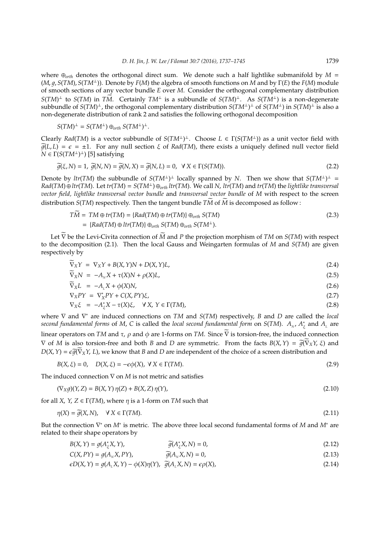where  $\oplus_{orth}$  denotes the orthogonal direct sum. We denote such a half lightlike submanifold by  $M =$ (*M*, 1, *S*(*TM*), *S*(*TM*<sup>⊥</sup>)). Denote by *F*(*M*) the algebra of smooth functions on *M* and by Γ(*E*) the *F*(*M*) module of smooth sections of any vector bundle *E* over *M*. Consider the orthogonal complementary distribution  $S(TM)^{\perp}$  to  $S(TM)$  in  $T\widetilde{M}$ . Certainly  $TM^{\perp}$  is a subbundle of  $S(TM)^{\perp}$ . As  $S(TM^{\perp})$  is a non-degenerate subbundle of *S*(*TM*) <sup>⊥</sup>, the orthogonal complementary distribution *S*(*TM*<sup>⊥</sup>) <sup>⊥</sup> of *S*(*TM*<sup>⊥</sup>) in *S*(*TM*) <sup>⊥</sup> is also a non-degenerate distribution of rank 2 and satisfies the following orthogonal decomposition

$$
S(TM)^{\perp} = S(TM^{\perp}) \oplus_{orth} S(TM^{\perp})^{\perp}.
$$

Clearly *Rad*(*TM*) is a vector subbundle of  $S(TM^{\perp})^{\perp}$ . Choose  $L \in \Gamma(S(TM^{\perp}))$  as a unit vector field with  $\tilde{q}(L, L) = \epsilon = \pm 1$ . For any null section  $\xi$  of *Rad(TM)*, there exists a uniquely defined null vector field  $N \in \Gamma(S(TM^{\perp})^{\perp})$  [5] satisfying

$$
\widetilde{g}(\xi, N) = 1, \ \widetilde{g}(N, N) = \widetilde{g}(N, X) = \widetilde{g}(N, L) = 0, \ \ \forall \ X \in \Gamma(S(TM)).
$$
\n
$$
(2.2)
$$

Denote by *ltr*(*TM*) the subbundle of  $S(TM^{\perp})^{\perp}$  locally spanned by *N*. Then we show that  $S(TM^{\perp})^{\perp}$  =  $Rad(TM) \oplus ltr(TM)$ . Let  $tr(TM) = S(TM^{\perp}) \oplus_{orth} ltr(TM)$ . We call N,  $ltr(TM)$  and  $tr(TM)$  the lightlike transversal *vector field, lightlike transversal vector bundle* and *transversal vector bundle* of *M* with respect to the screen distribution  $S(TM)$  respectively. Then the tangent bundle  $T\tilde{M}$  of  $\tilde{M}$  is decomposed as follow :

$$
T\widetilde{M} = TM \oplus tr(TM) = \{Rad(TM) \oplus tr(TM)\} \oplus_{orth} S(TM)
$$
  
=  $\{Rad(TM) \oplus ltr(TM)\} \oplus_{orth} S(TM) \oplus_{orth} S(TM^{\perp}).$  (2.3)

Let  $\overline{V}$  be the Levi-Civita connection of  $\overline{M}$  and  $P$  the projection morphism of *TM* on *S*(*TM*) with respect to the decomposition (2.1). Then the local Gauss and Weingarten formulas of *M* and *S*(*TM*) are given respectively by

$$
\widetilde{\nabla}_X Y = \nabla_X Y + B(X, Y)N + D(X, Y)L,
$$
\n(2.4)

$$
\widetilde{\nabla}_X N = -A_N X + \tau(X)N + \rho(X)L,\tag{2.5}
$$

$$
\widetilde{\nabla}_X L = -A_L X + \phi(X)N,\tag{2.6}
$$

$$
\nabla_X PY = \nabla_X^* PY + C(X, PY)\xi,\tag{2.7}
$$

$$
\nabla_X \xi = -A_{\xi}^* X - \tau(X) \xi, \quad \forall X, Y \in \Gamma(TM), \tag{2.8}
$$

where ∇ and ∇ <sup>∗</sup> are induced connections on *TM* and *S*(*TM*) respectively, *B* and *D* are called the *local second fundamental forms of M, C is called the <i>local second fundamental form* on *S*(*TM*).  $A_N$ ,  $A_i^s$  $\frac{\ast}{\xi}$  and  $A_{\iota}$  are linear operators on *TM* and  $\tau$ ,  $\rho$  and  $\phi$  are 1-forms on *TM*. Since  $\overline{V}$  is torsion-free, the induced connection  $\nabla$  of *M* is also torsion-free and both *B* and *D* are symmetric. From the facts  $B(X, Y) = \widetilde{g}(\overline{V}_X Y, \xi)$  and  $D(X, Y) = \epsilon \widetilde{g}(\nabla_X Y, L)$ , we know that *B* and *D* are independent of the choice of a screen distribution and

$$
B(X, \xi) = 0, \quad D(X, \xi) = -\epsilon \phi(X), \ \forall \ X \in \Gamma(TM).
$$
\n
$$
(2.9)
$$

The induced connection ∇ on *M* is not metric and satisfies

$$
(\nabla_X g)(Y, Z) = B(X, Y) \eta(Z) + B(X, Z) \eta(Y),
$$
\n(2.10)

for all *X*, *Y*, *Z*  $\in \Gamma(TM)$ , where  $\eta$  is a 1-form on *TM* such that

$$
\eta(X) = \tilde{g}(X, N), \quad \forall X \in \Gamma(TM). \tag{2.11}
$$

But the connection ∇ <sup>∗</sup> on *M*<sup>∗</sup> is metric. The above three local second fundamental forms of *M* and *M*<sup>∗</sup> are related to their shape operators by

$$
B(X,Y) = g(A_{\xi}^* X, Y), \qquad \widetilde{g}(A_{\xi}^* X, N) = 0, \qquad (2.12)
$$

$$
C(X, PY) = g(AN X, PY), \qquad \widetilde{g}(AN X, N) = 0,
$$
\n(2.13)

$$
\epsilon D(X,Y) = g(A_L X,Y) - \phi(X)\eta(Y), \quad \widetilde{g}(A_L X,N) = \epsilon \rho(X), \tag{2.14}
$$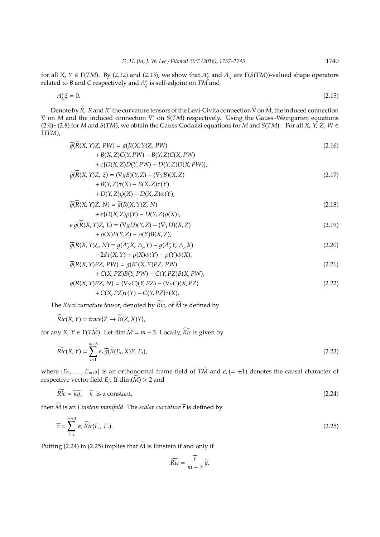for all *X*,  $Y \in \Gamma(TM)$ . By (2.12) and (2.13), we show that  $A^*_{\lambda}$  $\frac{\epsilon}{\xi}$  and  $A_{\scriptscriptstyle N}$  are  $\Gamma(S(TM))$ -valued shape operators related to *B* and *C* respectively and *A* ∗ ξ is self-adjoint on *TM* and

$$
A_{\xi}^* \xi = 0. \tag{2.15}
$$

Denote by  $\widetilde{R}$ ,  $R$  and  $R^*$  the curvature tensors of the Levi-Civita connection  $\widetilde{\nabla}$  on  $\widetilde{M}$ , the induced connection ∇ on *M* and the induced connection ∇ <sup>∗</sup> on *S*(*TM*) respectively. Using the Gauss -Weingarten equations (2.4)∼(2.8) for *M* and *S*(*TM*), we obtain the Gauss-Codazzi equations for *M* and *S*(*TM*) : For all *X*, *Y*, *Z*, *W* ∈ Γ(*TM*),

$$
\widetilde{g}(R(X, Y)Z, PW) = g(R(X, Y)Z, PW) \n+ B(X, Z)C(Y, PW) - B(Y, Z)C(X, PW) \n+ \varepsilon\{D(X, Z)D(Y, PW) - D(Y, Z)D(X, PW)\},
$$
\n(2.16)

$$
\widetilde{g}(\widetilde{R}(X,Y)Z,\xi) = (\nabla_X B)(Y,Z) - (\nabla_Y B)(X,Z) + B(Y,Z)\tau(X) - B(X,Z)\tau(Y)
$$
\n(2.17)

$$
+D(Y,Z)\phi(X) - D(X,Z)\phi(Y),
$$
  
\n
$$
\widetilde{g(R}(X,Y)Z, N) = \widetilde{g(R}(X,Y)Z, N)
$$
\n(2.18)

$$
+ \epsilon \{D(X, Z)\rho(Y) - D(Y, Z)\rho(X)\},
$$
  
\n
$$
\epsilon \widetilde{\rho(R}(X, Y)Z, L) = (\nabla_X D)(Y, Z) - (\nabla_Y D)(X, Z)
$$
\n(2.19)

+ρ(*X*)*B*(*Y*,*Z*) − ρ(*Y*)*B*(*X*,*Z*),

$$
\widetilde{g}(\widetilde{R}(X,Y)\xi, N) = g(A_{\xi}^{*}X, A_{N}Y) - g(A_{\xi}^{*}Y, A_{N}X)
$$
\n
$$
-2d\tau(X,Y) + \rho(X)\phi(Y) - \rho(Y)\phi(X),
$$
\n(2.20)

$$
\widetilde{g}(R(X,Y)PZ, PW) = g(R^*(X,Y)PZ, PW)
$$
  
+ C(X,PZ)B(Y,PW) – C(Y,PZ)B(X,PW). (2.21)

$$
g(R(X,Y)PZ, N) = (\nabla_X C)(Y,PZ) - (\nabla_Y C)(X,PZ)
$$
  
+ 
$$
C(X,PZ)\tau(Y) - C(Y,PZ)\tau(X).
$$
 (2.22)

The *Ricci curvature tensor*, denoted by  $\widetilde{Ric}$ , of  $\widetilde{M}$  is defined by

$$
\widetilde{Ric}(X,Y) = \operatorname{trace}\{Z \to \widetilde{R}(Z,X)Y\},
$$

for any *X*,  $Y \in \Gamma(T\widetilde{M})$ . Let dim  $\widetilde{M} = m + 3$ . Locally,  $\widetilde{Ric}$  is given by

$$
\widetilde{Ric}(X,Y) = \sum_{i=1}^{m+3} \epsilon_i \widetilde{g}(\widetilde{R}(E_i,X)Y, E_i),
$$
\n(2.23)

where  $\{E_1, \ldots, E_{m+3}\}$  is an orthonormal frame field of  $T\widetilde{M}$  and  $\epsilon_i (= \pm 1)$  denotes the causal character of respective vector field  $E_i$ . If  $dim(M) > 2$  and

$$
\overline{Ric} = \overline{\kappa g}, \quad \overline{\kappa} \text{ is a constant}, \tag{2.24}
$$

then  $\widetilde{M}$  is an *Einstein manifold*. The *scalar curvature*  $\widetilde{r}$  is defined by

$$
\widetilde{r} = \sum_{i=1}^{m+3} \epsilon_i \widetilde{Ric}(E_i, E_i). \tag{2.25}
$$

Putting (2.24) in (2.25) implies that  $\widetilde{M}$  is Einstein if and only if

$$
\widetilde{Ric} = \frac{\widetilde{r}}{m+3} \widetilde{g}.
$$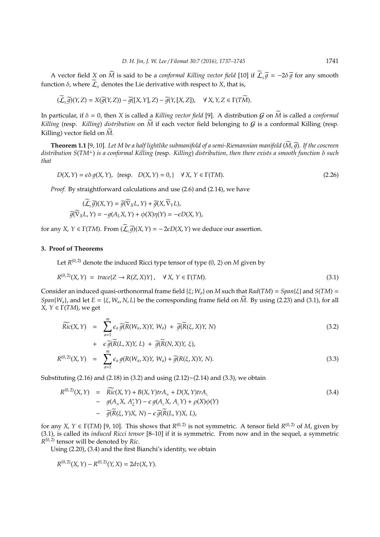A vector field *X* on  $\widetilde{M}$  is said to be a *conformal Killing vector field* [10] if  $\widetilde{\mathcal{L}}_{x}\widetilde{g} = -2\delta\widetilde{g}$  for any smooth function *δ*, where  $\widetilde{\mathcal{L}}_x$  denotes the Lie derivative with respect to *X*, that is,

$$
(\widetilde{\mathcal{L}}_x \widetilde{g})(Y,Z) = X(\widetilde{g}(Y,Z)) - \widetilde{g}([X,Y],Z) - \widetilde{g}(Y,[X,Z]), \quad \forall X,Y,Z \in \Gamma(T\widetilde{M}).
$$

In particular, if  $\delta = 0$ , then *X* is called a *Killing vector field* [9]. A distribution G on  $\widetilde{M}$  is called a *conformal Killing* (resp. *Killing*) *distribution* on  $\widetilde{M}$  if each vector field belonging to  $G$  is a conformal Killing (resp. Killing) vector field on  $\overline{M}$ .

**Theorem 1.1** [9, 10]. Let M be a half lightlike submanifold of a semi-Riemannian manifold  $(\widetilde{M}, \widetilde{q})$ . If the coscreen *distribution S*(*TM*<sup>⊥</sup>) *is a conformal Killing* (resp. *Killing*) *distribution, then there exists a smooth function* δ *such that*

$$
D(X, Y) = \epsilon \delta g(X, Y), \text{ } \{\text{resp. } D(X, Y) = 0, \} \quad \forall X, Y \in \Gamma(TM). \tag{2.26}
$$

*Proof.* By straightforward calculations and use (2.6) and (2.14), we have

$$
(\widetilde{L}_{L}\widetilde{g})(X,Y) = \widetilde{g}(\widetilde{\nabla}_{X}L,Y) + \widetilde{g}(X,\widetilde{\nabla}_{Y}L),
$$

$$
\widetilde{g}(\widetilde{\nabla}_{X}L,Y) = -g(A_{L}X,Y) + \phi(X)\eta(Y) = -\epsilon D(X,Y),
$$

for any *X*,  $Y \in \Gamma(TM)$ . From  $(\widetilde{\mathcal{L}}_L \widetilde{g})(X, Y) = -2\epsilon D(X, Y)$  we deduce our assertion.

# **3. Proof of Theorems**

Let *R* (0, 2) denote the induced Ricci type tensor of type (0, 2) on *M* given by

$$
R^{(0,2)}(X,Y) = \text{trace}\{Z \to R(Z,X)Y\}, \quad \forall X, Y \in \Gamma(TM).
$$
\n
$$
(3.1)
$$

Consider an induced quasi-orthonormal frame field { $\xi$ ;  $W_a$ } on *M* such that  $Rad(TM) = Span{\xi}$ } and  $S(TM)$  = *Span*{*W<sub>a</sub>*}, and let *E* = { $\xi$ , *W<sub>a</sub>*, *N*, *L*} be the corresponding frame field on  $\widetilde{M}$ . By using (2.23) and (3.1), for all *X*,  $Y \in \Gamma(TM)$ , we get

$$
\widetilde{Ric}(X,Y) = \sum_{a=1}^{m} \epsilon_a \, \widetilde{g}(\widetilde{R}(W_a, X)Y, W_a) + \widetilde{g}(\widetilde{R}(\xi, X)Y, N) \n+ \epsilon \, \widetilde{g}(\widetilde{R}(L, X)Y, L) + \widetilde{g}(\widetilde{R}(N, X)Y, \xi),
$$
\n(3.2)

$$
R^{(0,2)}(X,Y) = \sum_{a=1}^{m} \epsilon_a g(R(W_a,X)Y,W_a) + \widetilde{g}(R(\xi,X)Y,N). \tag{3.3}
$$

Substituting (2.16) and (2.18) in (3.2) and using (2.12)∼(2.14) and (3.3), we obtain

*R* (0, 2)(*X*,*Y*) <sup>=</sup> *Ric* <sup>f</sup>(*X*,*Y*) <sup>+</sup> *<sup>B</sup>*(*X*,*Y*)*trA<sup>N</sup>* <sup>+</sup> *<sup>D</sup>*(*X*, *<sup>Y</sup>*)*trA<sup>L</sup>* (3.4) − 1(*A<sup>N</sup> X*, *A* ∗ <sup>ξ</sup>*Y*) <sup>−</sup> <sup>1</sup>(*ALX*, *<sup>A</sup>LY*) <sup>+</sup> <sup>ρ</sup>(*X*)φ(*Y*) <sup>−</sup> <sup>1</sup>e(e*R*(ξ,*Y*)*X*, *<sup>N</sup>*) <sup>−</sup> <sup>1</sup>e(e*R*(*L*,*Y*)*X*, *<sup>L</sup>*),

for any *X*, *Y*  $\in$   $\Gamma(TM)$  [9, 10]. This shows that  $R^{(0,2)}$  is not symmetric. A tensor field  $R^{(0,2)}$  of *M*, given by (3.1), is called its *induced Ricci tensor* [8–10] if it is symmetric. From now and in the sequel, a symmetric *R* (0, 2) tensor will be denoted by *Ric*.

Using (2.20), (3.4) and the first Bianchi's identity, we obtain

$$
R^{(0,2)}(X,Y) - R^{(0,2)}(Y,X) = 2d\tau(X,Y).
$$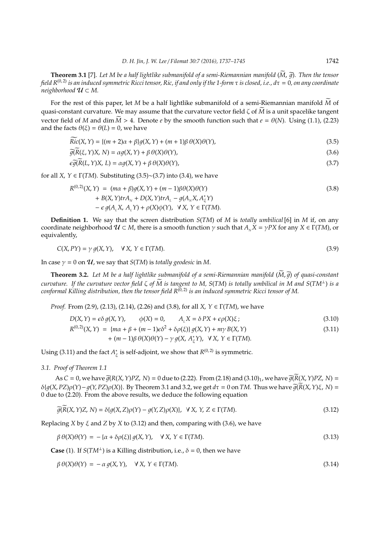**Theorem 3.1** [7]. Let M be a half lightlike submanifold of a semi-Riemannian manifold  $(\widetilde{M}, \widetilde{q})$ . Then the tensor *field R*(0, 2) *is an induced symmetric Ricci tensor, Ric, if and only if the 1-form* τ *is closed, i.e., d*τ = 0*, on any coordinate neighborhood*  $U \subset M$ .

For the rest of this paper, let *M* be a half lightlike submanifold of a semi-Riemannian manifold *M* of quasi-constant curvature. We may assume that the curvature vector field ζ of *M* is a unit spacelike tangent vector field of *M* and dim  $M > 4$ . Denote *e* by the smooth function such that  $e = \theta(N)$ . Using (1.1), (2.23) and the facts  $\theta(\xi) = \theta(L) = 0$ , we have

$$
\widetilde{Ric}(X,Y) = \{(m+2)\alpha + \beta\}g(X,Y) + (m+1)\beta\,\theta(X)\theta(Y),\tag{3.5}
$$

$$
\widetilde{g}(R(\xi, Y)X, N) = \alpha g(X, Y) + \beta \theta(X)\theta(Y),\tag{3.6}
$$

$$
\epsilon \widetilde{g}(R(L, Y)X, L) = \alpha g(X, Y) + \beta \theta(X)\theta(Y),\tag{3.7}
$$

for all *X*,  $Y \in \Gamma(TM)$ . Substituting (3.5)~(3.7) into (3.4), we have

$$
R^{(0,2)}(X,Y) = (m\alpha + \beta)g(X,Y) + (m-1)\beta\theta(X)\theta(Y)
$$
  
+  $B(X,Y)trA_N + D(X,Y)trA_L - g(A_NX, A_{\xi}^*Y)$   
-  $\epsilon g(A_LX, A_LY) + \rho(X)\phi(Y), \forall X, Y \in \Gamma(TM).$  (3.8)

**Definition 1.** We say that the screen distribution *S*(*TM*) of *M* is *totally umbilical* [6] in *M* if, on any coordinate neighborhood  $U \subset M$ , there is a smooth function  $\gamma$  such that  $A_N X = \gamma PX$  for any  $X \in \Gamma(TM)$ , or equivalently,

$$
C(X, PY) = \gamma g(X, Y), \quad \forall X, Y \in \Gamma(TM).
$$
\n(3.9)

In case  $\gamma = 0$  on  $\mathcal{U}$ , we say that *S*(*TM*) is *totally geodesic* in *M*.

**Theorem 3.2.** Let M be a half lightlike submanifold of a semi-Riemannian manifold  $(M,\tilde{q})$  of quasi-constant *curvature. If the curvature vector field*  $\zeta$  *of*  $\widetilde{M}$  *is tangent to M, S(TM) is totally umbilical in M and S(TM*<sup>⊥</sup>) *is a conformal Killing distribution, then the tensor field R<sup>(0, 2)</sup> is an induced symmetric Ricci tensor of M.* 

*Proof.* From (2.9), (2.13), (2.14), (2.26) and (3.8), for all *X*, *Y* ∈ Γ(*TM*), we have

$$
D(X, Y) = \epsilon \delta g(X, Y), \qquad \phi(X) = 0, \qquad A_L X = \delta PX + \epsilon \rho(X)\xi ;
$$
\n
$$
R^{(0,2)}(X, Y) = \{ma + \beta + (m - 1)\epsilon \delta^2 + \delta \rho(\xi)\} g(X, Y) + m\gamma B(X, Y)
$$
\n
$$
+ (m - 1)\beta \theta(X)\theta(Y) - \gamma g(X, A_{\xi}^*Y), \ \forall X, Y \in \Gamma(TM).
$$
\n(3.11)

Using  $(3.11)$  and the fact  $A^*_{\lambda}$  $\chi^*_{\xi}$  is self-adjoint, we show that  $R^{(0,2)}$  is symmetric.

*3.1. Proof of Theorem 1.1*

As *C* = 0, we have  $\tilde{g}(R(X, Y)PZ, N) = 0$  due to (2.22). From (2.18) and (3.10)<sub>1</sub>, we have  $\tilde{g}(R(X, Y)PZ, N) =$  $\delta\{g(X, PZ)\rho(Y) - g(Y, PZ)\rho(X)\}.$  By Theorem 3.1 and 3.2, we get  $d\tau = 0$  on *TM*. Thus we have  $\tilde{g}(\tilde{R}(X, Y)\xi, N) =$ 0 due to (2.20). From the above results, we deduce the following equation

$$
\widetilde{g}(\widetilde{R}(X,Y)Z,N) = \delta\{g(X,Z)\rho(Y) - g(Y,Z)\rho(X)\}, \ \ \forall \ X, \ Y, Z \in \Gamma(TM). \tag{3.12}
$$

Replacing *X* by ξ and *Z* by *X* to (3.12) and then, comparing with (3.6), we have

$$
\beta \theta(X)\theta(Y) = -\{\alpha + \delta \rho(\xi)\} g(X, Y), \quad \forall X, Y \in \Gamma(TM).
$$
\n(3.13)

**Case** (1). If *S*( $TM^{\perp}$ ) is a Killing distribution, i.e.,  $\delta = 0$ , then we have

$$
\beta \theta(X)\theta(Y) = -\alpha g(X,Y), \quad \forall X, Y \in \Gamma(TM).
$$
\n(3.14)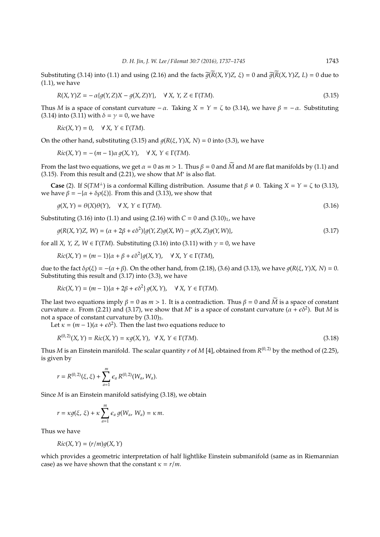Substituting (3.14) into (1.1) and using (2.16) and the facts  $\tilde{q}(\tilde{R}(X,Y)Z, \xi) = 0$  and  $\tilde{q}(\tilde{R}(X,Y)Z, L) = 0$  due to (1.1), we have

$$
R(X,Y)Z = -\alpha\{g(Y,Z)X - g(X,Z)Y\}, \quad \forall X, Y, Z \in \Gamma(TM).
$$
\n(3.15)

Thus *M* is a space of constant curvature  $-\alpha$ . Taking  $X = Y = \zeta$  to (3.14), we have  $\beta = -\alpha$ . Substituting (3.14) into (3.11) with  $\delta = \gamma = 0$ , we have

$$
Ric(X, Y) = 0, \quad \forall X, Y \in \Gamma(TM).
$$

On the other hand, substituting (3.15) and  $q(R(\xi, Y)X, N) = 0$  into (3.3), we have

$$
Ric(X, Y) = -(m-1)\alpha g(X, Y), \quad \forall X, Y \in \Gamma(TM).
$$

From the last two equations, we get  $\alpha = 0$  as  $m > 1$ . Thus  $\beta = 0$  and  $\widetilde{M}$  and  $M$  are flat manifolds by (1.1) and (3.15). From this result and (2.21), we show that  $M^*$  is also flat.

**Case** (2). If *S*(*TM*<sup>⊥</sup>) is a conformal Killing distribution. Assume that  $\beta \neq 0$ . Taking *X* = *Y* = ζ to (3.13), we have  $\beta = -\{\alpha + \delta \rho(\xi)\}\)$ . From this and (3.13), we show that

$$
g(X,Y) = \theta(X)\theta(Y), \quad \forall X, Y \in \Gamma(TM).
$$
\n(3.16)

Substituting (3.16) into (1.1) and using (2.16) with  $C = 0$  and (3.10)<sub>1</sub>, we have

$$
g(R(X, Y)Z, W) = (\alpha + 2\beta + \epsilon \delta^2) \{g(Y, Z)g(X, W) - g(X, Z)g(Y, W)\},\tag{3.17}
$$

for all *X*, *Y*, *Z*, *W*  $\in \Gamma(TM)$ . Substituting (3.16) into (3.11) with  $\gamma = 0$ , we have

$$
Ric(X,Y) = (m-1)\{\alpha + \beta + \epsilon \delta^2\}g(X,Y), \quad \forall X, Y \in \Gamma(TM),
$$

due to the fact  $δρ(ξ) = -(α + β)$ . On the other hand, from (2.18), (3.6) and (3.13), we have  $q(R(ξ, Y)X, N) = 0$ . Substituting this result and (3.17) into (3.3), we have

$$
Ric(X,Y) = (m-1)\{\alpha + 2\beta + \epsilon \delta^2\} g(X,Y), \quad \forall X, Y \in \Gamma(TM).
$$

The last two equations imply  $\beta = 0$  as  $m > 1$ . It is a contradiction. Thus  $\beta = 0$  and *M* is a space of constant curvature  $\alpha$ . From (2.21) and (3.17), we show that *M*<sup>\*</sup> is a space of constant curvature ( $\alpha + \epsilon \delta^2$ ). But *M* is not a space of constant curvature by  $(3.10)<sub>3</sub>$ .

Let  $\kappa = (m-1)(\alpha + \epsilon \delta^2)$ . Then the last two equations reduce to

$$
R^{(0,2)}(X,Y) = Ric(X,Y) = \kappa g(X,Y), \quad \forall X, Y \in \Gamma(TM).
$$
\n(3.18)

Thus *M* is an Einstein manifold. The scalar quantity *r* of *M* [4], obtained from *R* (0, 2) by the method of (2.25), is given by

$$
r = R^{(0,2)}(\xi, \xi) + \sum_{a=1}^{m} \epsilon_a R^{(0,2)}(W_a, W_a).
$$

Since *M* is an Einstein manifold satisfying (3.18), we obtain

$$
r = \kappa g(\xi, \xi) + \kappa \sum_{a=1}^m \epsilon_a g(W_a, W_a) = \kappa m.
$$

Thus we have

$$
Ric(X, Y) = (r/m)g(X, Y)
$$

which provides a geometric interpretation of half lightlike Einstein submanifold (same as in Riemannian case) as we have shown that the constant  $\kappa = r/m$ .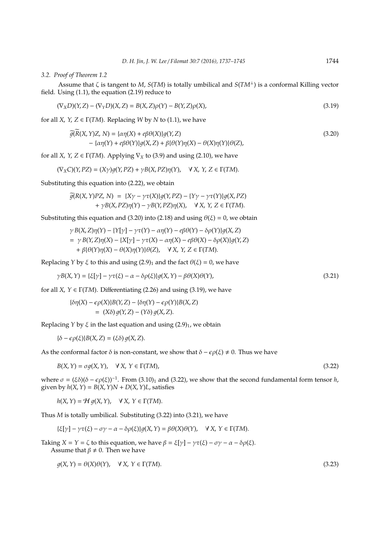### *3.2. Proof of Theorem 1.2*

Assume that ζ is tangent to *M*, *S*(*TM*) is totally umbilical and *S*(*TM*<sup>⊥</sup>) is a conformal Killing vector field. Using (1.1), the equation (2.19) reduce to

$$
(\nabla_X D)(Y, Z) - (\nabla_Y D)(X, Z) = B(X, Z)\rho(Y) - B(Y, Z)\rho(X),
$$
\n(3.19)

for all *X*, *Y*, *Z*  $\in \Gamma(TM)$ . Replacing *W* by *N* to (1.1), we have

$$
\widetilde{g}(\widetilde{R}(X,Y)Z,N) = \{\alpha \eta(X) + e\beta \theta(X)\} g(Y,Z)
$$
\n
$$
- \{\alpha \eta(Y) + e\beta \theta(Y)\} g(X,Z) + \beta \{\theta(Y)\eta(X) - \theta(X)\eta(Y)\} \theta(Z),
$$
\n(3.20)

for all *X*, *Y*, *Z*  $\in \Gamma(TM)$ . Applying  $\nabla_X$  to (3.9) and using (2.10), we have

$$
(\nabla_X C)(Y, PZ) = (X\gamma)g(Y, PZ) + \gamma B(X, PZ)\eta(Y), \quad \forall X, Y, Z \in \Gamma(TM).
$$

Substituting this equation into (2.22), we obtain

$$
\widetilde{g}(R(X,Y)PZ, N) = \{X\gamma - \gamma\tau(X)\}g(Y,PZ) - \{\gamma\gamma - \gamma\tau(Y)\}g(X,PZ) + \gamma B(X,PZ)\eta(Y) - \gamma B(Y,PZ)\eta(X), \quad \forall X, Y, Z \in \Gamma(TM).
$$

Substituting this equation and (3.20) into (2.18) and using  $\theta(\xi) = 0$ , we obtain

$$
\gamma B(X, Z)\eta(Y) - \{Y[\gamma] - \gamma\tau(Y) - \alpha\eta(Y) - e\beta\theta(Y) - \delta\rho(Y)\}g(X, Z)
$$
  
= 
$$
\gamma B(Y, Z)\eta(X) - \{X[\gamma] - \gamma\tau(X) - \alpha\eta(X) - e\beta\theta(X) - \delta\rho(X)\}g(Y, Z)
$$
  
+ 
$$
\beta\{\theta(Y)\eta(X) - \theta(X)\eta(Y)\}\theta(Z), \quad \forall X, Y, Z \in \Gamma(TM).
$$

Replacing *Y* by  $\xi$  to this and using (2.9)<sub>1</sub> and the fact  $\theta(\xi) = 0$ , we have

$$
\gamma B(X,Y) = \{\xi[\gamma] - \gamma \tau(\xi) - \alpha - \delta \rho(\xi)\} g(X,Y) - \beta \theta(X)\theta(Y),\tag{3.21}
$$

for all *X*,  $Y \in \Gamma(TM)$ . Differentiating (2.26) and using (3.19), we have

$$
\begin{aligned} \{\delta \eta(X) - \epsilon \rho(X)\} B(Y, Z) - \{\delta \eta(Y) - \epsilon \rho(Y)\} B(X, Z) \\ &= (X\delta) \, g(Y, Z) - (Y\delta) \, g(X, Z). \end{aligned}
$$

Replacing *Y* by  $\xi$  in the last equation and using  $(2.9)<sub>1</sub>$ , we obtain

$$
\{\delta - \epsilon \rho(\xi)\} B(X, Z) = (\xi \delta) g(X, Z).
$$

As the conformal factor  $\delta$  is non-constant, we show that  $\delta - \epsilon \rho(\xi) \neq 0$ . Thus we have

$$
B(X,Y) = \sigma g(X,Y), \quad \forall X, Y \in \Gamma(TM), \tag{3.22}
$$

where  $\sigma = (\xi \delta)(\delta - \epsilon \rho(\xi))^{-1}$ . From (3.10)<sub>1</sub> and (3.22), we show that the second fundamental form tensor *h*, given by  $h(X, Y) = B(X, Y)N + D(X, Y)L$ , satisfies

 $h(X, Y) = H q(X, Y), \quad \forall X, Y \in \Gamma(TM).$ 

Thus *M* is totally umbilical. Substituting (3.22) into (3.21), we have

$$
\{\xi[\gamma] - \gamma \tau(\xi) - \sigma \gamma - \alpha - \delta \rho(\xi)\} g(X, Y) = \beta \theta(X)\theta(Y), \quad \forall X, Y \in \Gamma(TM).
$$

Taking  $X = Y = \zeta$  to this equation, we have  $\beta = \xi[\gamma] - \gamma \tau(\xi) - \sigma \gamma - \alpha - \delta \rho(\xi)$ .

Assume that  $\beta \neq 0$ . Then we have

$$
g(X,Y) = \theta(X)\theta(Y), \quad \forall X, Y \in \Gamma(TM).
$$
\n(3.23)